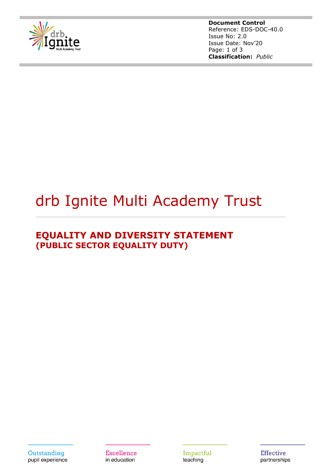

**Document Control** Reference: EDS-DOC-40.0 Issue No: 2.0 Issue Date: Nov'20 Page: 1 of 3 **Classification:** *Public*

# drb Ignite Multi Academy Trust

## **EQUALITY AND DIVERSITY STATEMENT (PUBLIC SECTOR EQUALITY DUTY)**

Outstanding pupil experience Excellence in education

Impactful teaching

**Effective** partnerships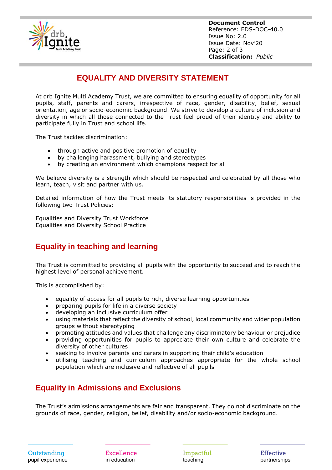

**Document Control** Reference: EDS-DOC-40.0 Issue No: 2.0 Issue Date: Nov'20 Page: 2 of 3 **Classification:** *Public*

## **EQUALITY AND DIVERSITY STATEMENT**

At drb Ignite Multi Academy Trust, we are committed to ensuring equality of opportunity for all pupils, staff, parents and carers, irrespective of race, gender, disability, belief, sexual orientation, age or socio-economic background. We strive to develop a culture of inclusion and diversity in which all those connected to the Trust feel proud of their identity and ability to participate fully in Trust and school life.

The Trust tackles discrimination:

- through active and positive promotion of equality
- by challenging harassment, bullying and stereotypes
- by creating an environment which champions respect for all

We believe diversity is a strength which should be respected and celebrated by all those who learn, teach, visit and partner with us.

Detailed information of how the Trust meets its statutory responsibilities is provided in the following two Trust Policies:

Equalities and Diversity Trust Workforce Equalities and Diversity School Practice

#### **Equality in teaching and learning**

The Trust is committed to providing all pupils with the opportunity to succeed and to reach the highest level of personal achievement.

This is accomplished by:

- equality of access for all pupils to rich, diverse learning opportunities
- preparing pupils for life in a diverse society
- developing an inclusive curriculum offer
- using materials that reflect the diversity of school, local community and wider population groups without stereotyping
- promoting attitudes and values that challenge any discriminatory behaviour or prejudice
- providing opportunities for pupils to appreciate their own culture and celebrate the diversity of other cultures
- seeking to involve parents and carers in supporting their child's education
- utilising teaching and curriculum approaches appropriate for the whole school population which are inclusive and reflective of all pupils

#### **Equality in Admissions and Exclusions**

The Trust's admissions arrangements are fair and transparent. They do not discriminate on the grounds of race, gender, religion, belief, disability and/or socio-economic background.

Excellence in education

Impactful teaching

**Effective** partnerships